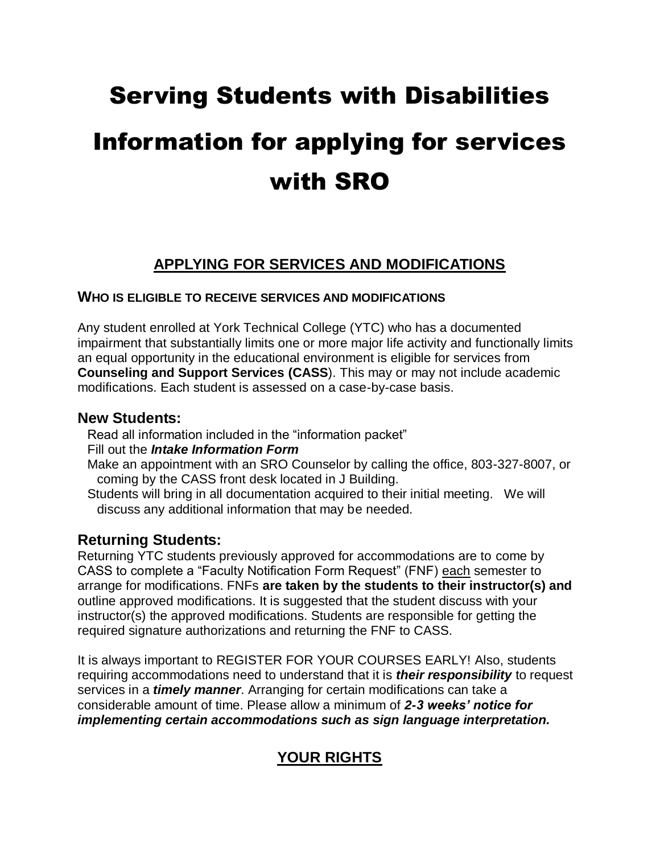# Serving Students with Disabilities Information for applying for services with SRO

# **APPLYING FOR SERVICES AND MODIFICATIONS**

### **WHO IS ELIGIBLE TO RECEIVE SERVICES AND MODIFICATIONS**

Any student enrolled at York Technical College (YTC) who has a documented impairment that substantially limits one or more major life activity and functionally limits an equal opportunity in the educational environment is eligible for services from **Counseling and Support Services (CASS**). This may or may not include academic modifications. Each student is assessed on a case-by-case basis.

## **New Students:**

Read all information included in the "information packet"

- Fill out the *Intake Information Form*
- Make an appointment with an SRO Counselor by calling the office, 803-327-8007, or coming by the CASS front desk located in J Building.
- Students will bring in all documentation acquired to their initial meeting. We will discuss any additional information that may be needed.

# **Returning Students:**

Returning YTC students previously approved for accommodations are to come by CASS to complete a "Faculty Notification Form Request" (FNF) each semester to arrange for modifications. FNFs **are taken by the students to their instructor(s) and**  outline approved modifications. It is suggested that the student discuss with your instructor(s) the approved modifications. Students are responsible for getting the required signature authorizations and returning the FNF to CASS.

It is always important to REGISTER FOR YOUR COURSES EARLY! Also, students requiring accommodations need to understand that it is *their responsibility* to request services in a *timely manner*. Arranging for certain modifications can take a considerable amount of time. Please allow a minimum of *2-3 weeks' notice for implementing certain accommodations such as sign language interpretation.*

# **YOUR RIGHTS**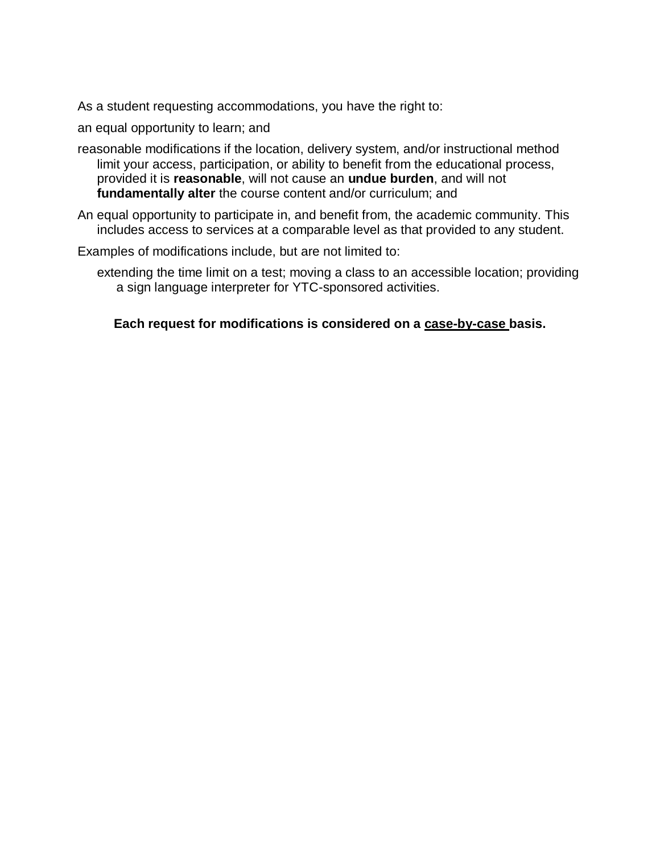As a student requesting accommodations, you have the right to:

an equal opportunity to learn; and

- reasonable modifications if the location, delivery system, and/or instructional method limit your access, participation, or ability to benefit from the educational process, provided it is **reasonable**, will not cause an **undue burden**, and will not **fundamentally alter** the course content and/or curriculum; and
- An equal opportunity to participate in, and benefit from, the academic community. This includes access to services at a comparable level as that provided to any student.
- Examples of modifications include, but are not limited to:
	- extending the time limit on a test; moving a class to an accessible location; providing a sign language interpreter for YTC-sponsored activities.

**Each request for modifications is considered on a case-by-case basis.**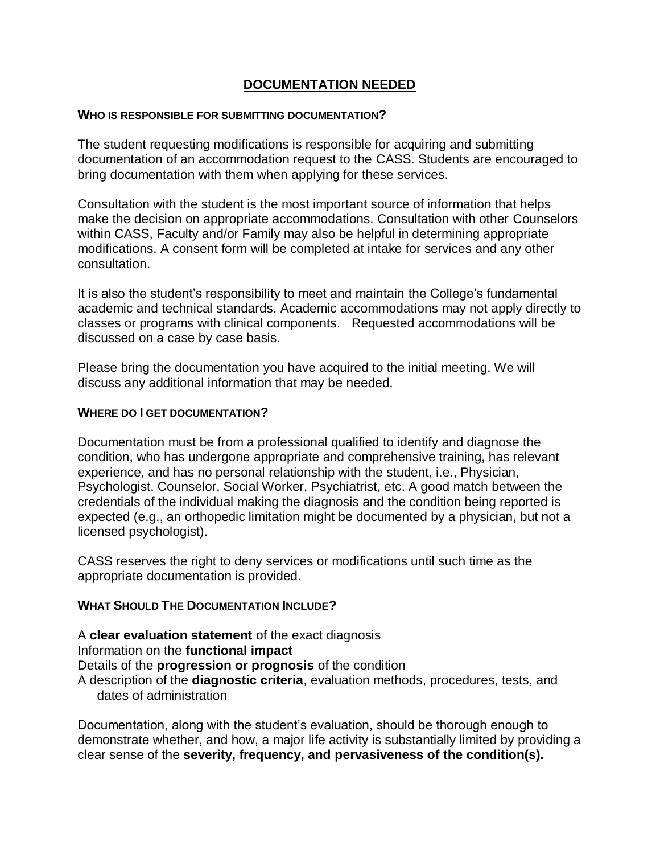## **DOCUMENTATION NEEDED**

#### **WHO IS RESPONSIBLE FOR SUBMITTING DOCUMENTATION?**

The student requesting modifications is responsible for acquiring and submitting documentation of an accommodation request to the CASS. Students are encouraged to bring documentation with them when applying for these services.

Consultation with the student is the most important source of information that helps make the decision on appropriate accommodations. Consultation with other Counselors within CASS, Faculty and/or Family may also be helpful in determining appropriate modifications. A consent form will be completed at intake for services and any other consultation.

It is also the student's responsibility to meet and maintain the College's fundamental academic and technical standards. Academic accommodations may not apply directly to classes or programs with clinical components. Requested accommodations will be discussed on a case by case basis.

Please bring the documentation you have acquired to the initial meeting. We will discuss any additional information that may be needed.

#### **WHERE DO I GET DOCUMENTATION?**

Documentation must be from a professional qualified to identify and diagnose the condition, who has undergone appropriate and comprehensive training, has relevant experience, and has no personal relationship with the student, i.e., Physician, Psychologist, Counselor, Social Worker, Psychiatrist, etc. A good match between the credentials of the individual making the diagnosis and the condition being reported is expected (e.g., an orthopedic limitation might be documented by a physician, but not a licensed psychologist).

CASS reserves the right to deny services or modifications until such time as the appropriate documentation is provided.

#### **WHAT SHOULD THE DOCUMENTATION INCLUDE?**

A **clear evaluation statement** of the exact diagnosis Information on the **functional impact**

Details of the **progression or prognosis** of the condition

A description of the **diagnostic criteria**, evaluation methods, procedures, tests, and dates of administration

Documentation, along with the student's evaluation, should be thorough enough to demonstrate whether, and how, a major life activity is substantially limited by providing a clear sense of the **severity, frequency, and pervasiveness of the condition(s).**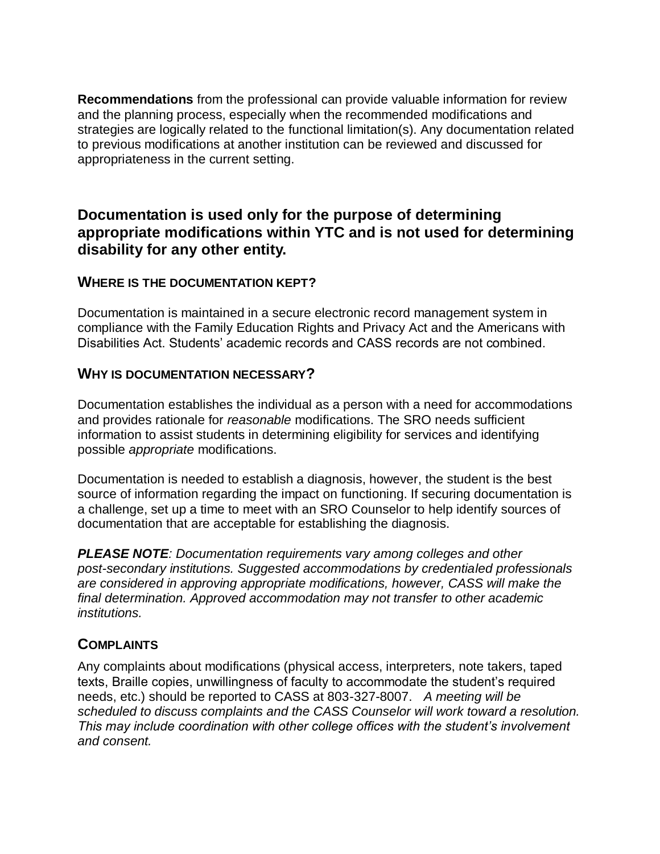**Recommendations** from the professional can provide valuable information for review and the planning process, especially when the recommended modifications and strategies are logically related to the functional limitation(s). Any documentation related to previous modifications at another institution can be reviewed and discussed for appropriateness in the current setting.

# **Documentation is used only for the purpose of determining appropriate modifications within YTC and is not used for determining disability for any other entity.**

## **WHERE IS THE DOCUMENTATION KEPT?**

Documentation is maintained in a secure electronic record management system in compliance with the Family Education Rights and Privacy Act and the Americans with Disabilities Act. Students' academic records and CASS records are not combined.

## **WHY IS DOCUMENTATION NECESSARY?**

Documentation establishes the individual as a person with a need for accommodations and provides rationale for *reasonable* modifications. The SRO needs sufficient information to assist students in determining eligibility for services and identifying possible *appropriate* modifications.

Documentation is needed to establish a diagnosis, however, the student is the best source of information regarding the impact on functioning. If securing documentation is a challenge, set up a time to meet with an SRO Counselor to help identify sources of documentation that are acceptable for establishing the diagnosis.

*PLEASE NOTE: Documentation requirements vary among colleges and other post-secondary institutions. Suggested accommodations by credentialed professionals are considered in approving appropriate modifications, however, CASS will make the final determination. Approved accommodation may not transfer to other academic institutions.*

# **COMPLAINTS**

Any complaints about modifications (physical access, interpreters, note takers, taped texts, Braille copies, unwillingness of faculty to accommodate the student's required needs, etc.) should be reported to CASS at 803-327-8007. *A meeting will be scheduled to discuss complaints and the CASS Counselor will work toward a resolution. This may include coordination with other college offices with the student's involvement and consent.*